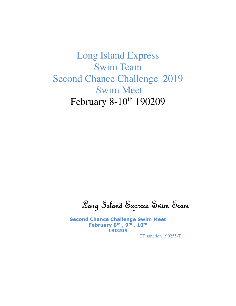Long Island Express Swim Team Second Chance Challenge 2019 Swim Meet February 8-10<sup>th</sup> 190209

Long Island Express Swim Team Long Island Express Team

Second Chance Challenge Swim Meet February 8<sup>th</sup>, 9<sup>th</sup>, 10<sup>th</sup> 190209

TT sanction 190255-T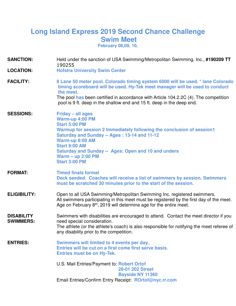# **Long Island Express 2019 Second Chance Challenge Swim Meet February 08,09, 10,**

**SANCTION:** Held under the sanction of USA Swimming/Metropolitan Swimming, Inc., **#190209 TT** 190255 **LOCATION: Hofstra University Swim Center FACILITY: 8 Lane 50 meter pool. Colorado timing system 6000 will be used. \* lane Colorado timing scoreboard will be used. Hy-Tek meet manager will be used to conduct the meet.**  The pool **has** been certified in accordance with Article 104.2.2C (4). The competition pool is 9 ft. deep in the shallow end and 15 ft. deep in the deep end. **SESSIONS: Friday – all ages Warm-up 4:00 PM Start 5:00 PM Warmup for session 2 Immediately following the conclusion of session1 Saturday and Sunday -- Ages : 13-14 and 11-12 Warm-up 8:00 AM Start 9:00 AM Saturday and Sunday -- Ages: Open and 10 and unders Warm – up 2:00 PM Start 3:00 PM FORMAT: Timed finals format Deck seeded. Coaches will receive a list of swimmers by session. Swimmers must be scratched 30 minutes prior to the start of the session. ELIGIBILITY:** Open to all USA Swimming/Metropolitan Swimming Inc. registered swimmers. All swimmers participating in this meet must be registered by the first day of the meet. Age on February 8<sup>th</sup>, 2019 will determine age for the entire meet. **DISABILITY SWIMMERS:**  Swimmers with disabilities are encouraged to attend. Contact the meet director if you need special consideration. The athlete (or the athlete's coach) is also responsible for notifying the meet referee of any disability prior to the competition. **ENTRIES: Swimmers will limited to 4 events per day., Entries will be cut on a first come first serve basis. Entries must be on Hy-Tek.** U.S. Mail Entries/Payment to: **Robert Ortof 28-01 202 Street Bayside NY 11360** Email Entries/Confirm Entry Receipt: **ROrtof@nyc.rr.com**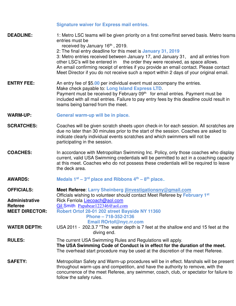### **Signature waiver for Express mail entries.**

**DEADLINE:** 1: Metro LSC teams will be given priority on a first come/first served basis. Metro teams entries must be

received by January 16<sup>th</sup>, 2019.

 2: The final entry deadline for this meet is **January 31, 2019** 3: Metro entries received between January 17, and January 31, and all entries from<br>other LSC's will be entered in the order they were received, as space allows. the order they were received, as space allows. An email confirming receipt of entries if you provide an email contact. Please contact Meet Director if you do not receive such a report within 2 days of your original email.

**ENTRY FEE:** An entry fee of \$5.00 per individual event must accompany the entries. Make check payable to: **Long Island Express LTD**. Payment must be received by February 09<sup>th</sup> for email entries. Payment must be included with all mail entries. Failure to pay entry fees by this deadline could result in teams being barred from the meet.

- **WARM-UP: General warm-up will be in place.**
- **SCRATCHES:** Coaches will be given scratch sheets upon check-in for each session. All scratches are due no later than 30 minutes prior to the start of the session. Coaches are asked to indicate clearly individual events scratches and which swimmers will not be participating in the session.
- **COACHES:** In accordance with Metropolitan Swimming Inc. Policy, only those coaches who display current, valid USA Swimming credentials will be permitted to act in a coaching capacity at this meet. Coaches who do not possess these credentials will be required to leave the deck area.
- **AWARDS: Medals 1st – 3 rd place and Ribbons 4th – 8 th place.**.

follow the safety rules.

| <b>OFFICIALS:</b>     | Meet Referee: Larry Sheinberg jlinvestigationsny@gmail.com<br>Officials wishing to volunteer should contact Meet Referee by February 1 <sup>st</sup>                                                                                                                |
|-----------------------|---------------------------------------------------------------------------------------------------------------------------------------------------------------------------------------------------------------------------------------------------------------------|
| <b>Administrative</b> | Rick Ferriola Liecoach@aol.com                                                                                                                                                                                                                                      |
| <b>Referee</b>        | Gil Smith Papabear122346@aol.com                                                                                                                                                                                                                                    |
| <b>MEET DIRECTOR:</b> | Robert Ortof 28-01 202 street Bayside NY 11360                                                                                                                                                                                                                      |
|                       | Phone - 718-352-2136                                                                                                                                                                                                                                                |
|                       | <b>Email ROrtof@nyc.rr.com</b>                                                                                                                                                                                                                                      |
| <b>WATER DEPTH:</b>   | USA 2011 - 202.3.7 "The water depth is 7 feet at the shallow end and 15 feet at the<br>diving end.                                                                                                                                                                  |
| <b>RULES:</b>         | The current USA Swimming Rules and Regulations will apply.<br>The USA Swimming Code of Conduct is in effect for the duration of the meet.<br>The overhead start procedure may be used at the discretion of the meet Referee.                                        |
| <b>SAFETY:</b>        | Metropolitan Safety and Warm-up procedures will be in effect. Marshals will be present<br>throughout warm-ups and competition, and have the authority to remove, with the<br>concurrence of the meet Referee, any swimmer, coach, club, or spectator for failure to |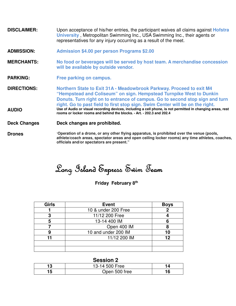- **DISCLAIMER:** Upon acceptance of his/her entries, the participant waives all claims against **Hofstra University** , Metropolitan Swimming Inc., USA Swimming Inc., their agents or representatives for any injury occurring as a result of the meet.
- **ADMISSION: Admission \$4.00 per person Programs \$2.00**
- **MERCHANTS: No food or beverages will be served by host team. A merchandise concession will be available by outside vendor.**
- **PARKING: Free parking on campus.**
- **DIRECTIONS: Northern State to Exit 31A - Meadowbrook Parkway. Proceed to exit M4 "Hempstead and Coliseum" on sign. Hempstead Turnpike West to Dunkin Donuts. Turn right on to entrance of campus. Go to second stop sign and turn right. Go to past field to first stop sign. Swim Center will be on the right. AUDIO Use of Audio or visual recording devices, including a cell phone, is not permitted in changing areas, rest** 
	- **rooms or locker rooms and behind the blocks. Art. 202.3 and 202.4**

**Deck Changes Deck changes are prohibited.**

**Drones** "**Operation of a drone, or any other flying apparatus, is prohibited over the venue (pools, athlete/coach areas, spectator areas and open ceiling locker rooms) any time athletes, coaches, officials and/or spectators are present."**

Long Island Express Swim Team Long Island Express Swim Team Island Express Swim Team

## **Friday February 8<sup>th</sup>**

| <b>Girls</b> | <b>Event</b>        | <b>Boys</b> |
|--------------|---------------------|-------------|
|              | 10 & under 200 Free |             |
|              | 11/12 200 Free      |             |
| 5            | 13-14 400 IM        |             |
|              | Open 400 IM         |             |
|              | 10 and under 200 IM | 10          |
| 11           | 11/12 200 IM        | 12          |
|              |                     |             |
|              |                     |             |

## **Session 2**

| _ _ _ _ _ _ _ _ _ _ |   |
|---------------------|---|
| 13-14 500 Free      |   |
| Open 500 free       | ю |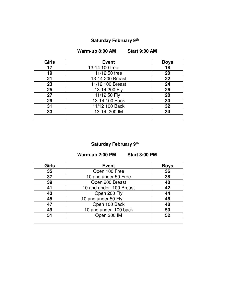## **Saturday February 9th**

**Warm-up 8:00 AM Start 9:00 AM** 

| <b>Girls</b> | <b>Event</b>     | <b>Boys</b> |
|--------------|------------------|-------------|
| 17           | 13-14 100 free   | 18          |
| 19           | 11/12 50 free    | 20          |
| 21           | 13-14 200 Breast | 22          |
| 23           | 11/12 100 Breast | 24          |
| 25           | 13-14 200 Fly    | 26          |
| 27           | 11/12 50 Fly     | 28          |
| 29           | 13-14 100 Back   | 30          |
| 31           | 11/12 100 Back   | 32          |
| 33           | 13-14 200 IM     | 34          |
|              |                  |             |

### **Saturday February 9th**

**Warm-up 2:00 PM Start 3:00 PM** 

| <b>Girls</b> | <b>Event</b>            | <b>Boys</b> |
|--------------|-------------------------|-------------|
| 35           | Open 100 Free           | 36          |
| 37           | 10 and under 50 Free    | 38          |
| 39           | Open 200 Breast         | 40          |
| 41           | 10 and under 100 Breast | 42          |
| 43           | Open 200 Fly            | 44          |
| 45           | 10 and under 50 Fly     | 46          |
| 47           | Open 100 Back           | 48          |
| 49           | 10 and under 100 back   | 50          |
| 51           | Open 200 IM             | 52          |
|              |                         |             |